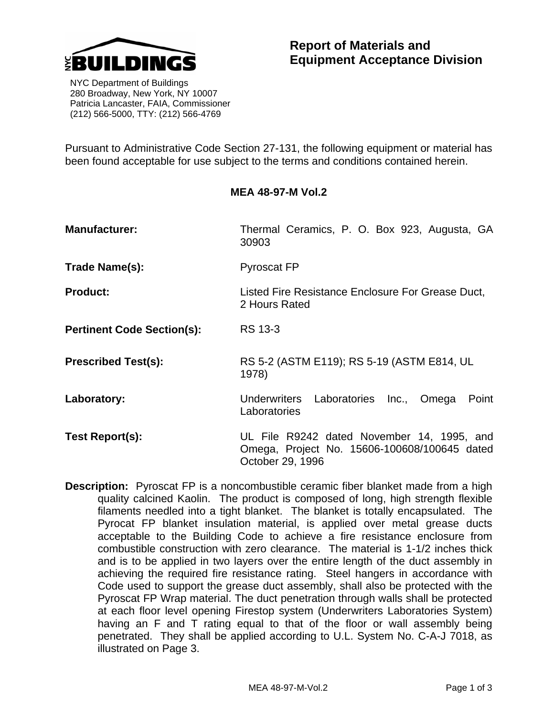

 NYC Department of Buildings 280 Broadway, New York, NY 10007 Patricia Lancaster, FAIA, Commissioner (212) 566-5000, TTY: (212) 566-4769

Pursuant to Administrative Code Section 27-131, the following equipment or material has been found acceptable for use subject to the terms and conditions contained herein.

## **MEA 48-97-M Vol.2**

| <b>Manufacturer:</b>              | Thermal Ceramics, P. O. Box 923, Augusta, GA<br>30903                                                          |  |  |  |  |  |
|-----------------------------------|----------------------------------------------------------------------------------------------------------------|--|--|--|--|--|
| Trade Name(s):                    | <b>Pyroscat FP</b>                                                                                             |  |  |  |  |  |
| <b>Product:</b>                   | Listed Fire Resistance Enclosure For Grease Duct,<br>2 Hours Rated                                             |  |  |  |  |  |
| <b>Pertinent Code Section(s):</b> | RS 13-3                                                                                                        |  |  |  |  |  |
| <b>Prescribed Test(s):</b>        | RS 5-2 (ASTM E119); RS 5-19 (ASTM E814, UL<br>1978)                                                            |  |  |  |  |  |
| Laboratory:                       | Underwriters Laboratories<br>Inc.,<br>Omega<br>Point<br>Laboratories                                           |  |  |  |  |  |
| Test Report(s):                   | UL File R9242 dated November 14, 1995, and<br>Omega, Project No. 15606-100608/100645 dated<br>October 29, 1996 |  |  |  |  |  |

**Description:** Pyroscat FP is a noncombustible ceramic fiber blanket made from a high quality calcined Kaolin. The product is composed of long, high strength flexible filaments needled into a tight blanket. The blanket is totally encapsulated. The Pyrocat FP blanket insulation material, is applied over metal grease ducts acceptable to the Building Code to achieve a fire resistance enclosure from combustible construction with zero clearance. The material is 1-1/2 inches thick and is to be applied in two layers over the entire length of the duct assembly in achieving the required fire resistance rating. Steel hangers in accordance with Code used to support the grease duct assembly, shall also be protected with the Pyroscat FP Wrap material. The duct penetration through walls shall be protected at each floor level opening Firestop system (Underwriters Laboratories System) having an F and T rating equal to that of the floor or wall assembly being penetrated. They shall be applied according to U.L. System No. C-A-J 7018, as illustrated on Page 3.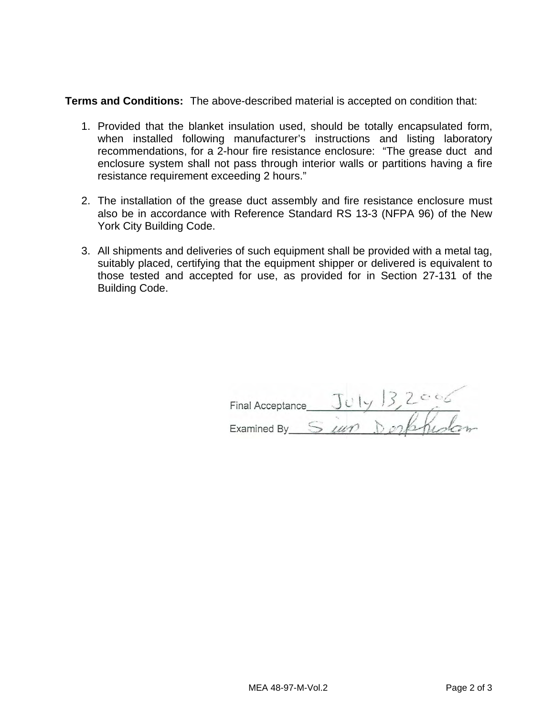**Terms and Conditions:** The above-described material is accepted on condition that:

- 1. Provided that the blanket insulation used, should be totally encapsulated form, when installed following manufacturer's instructions and listing laboratory recommendations, for a 2-hour fire resistance enclosure: "The grease duct and enclosure system shall not pass through interior walls or partitions having a fire resistance requirement exceeding 2 hours."
- 2. The installation of the grease duct assembly and fire resistance enclosure must also be in accordance with Reference Standard RS 13-3 (NFPA 96) of the New York City Building Code.
- 3. All shipments and deliveries of such equipment shall be provided with a metal tag, suitably placed, certifying that the equipment shipper or delivered is equivalent to those tested and accepted for use, as provided for in Section 27-131 of the Building Code.

| <b>Final Acceptance</b> |  |  |  |
|-------------------------|--|--|--|
| Examined By             |  |  |  |